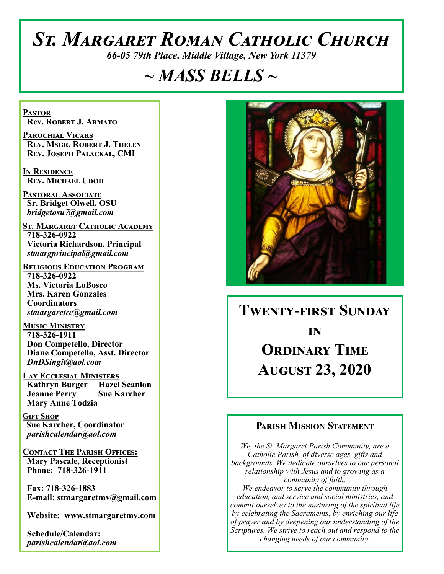# *St. Margaret Roman Catholic Church*

*66-05 79th Place, Middle Village, New York 11379*

## *~ MASS BELLS ~*

**Pastor Rev. Robert J. Armato**

**Parochial Vicars Rev. Msgr. Robert J. Thelen Rev. Joseph Palackal, CMI**

**In Residence Rev. Michael Udoh**

**Pastoral Associate Sr. Bridget Olwell, OSU**  *bridgetosu7@gmail.com*

**St. Margaret Catholic Academy 718-326-0922 Victoria Richardson, Principal**  *stmargprincipal@gmail.com*

**Religious Education Program 718-326-0922 Ms. Victoria LoBosco Mrs. Karen Gonzales Coordinators** *stmargaretre@gmail.com*

**Music Ministry 718-326-1911 Don Competello, Director Diane Competello, Asst. Director** *DnDSingit@aol.com*

**Lay Ecclesial Ministers Kathryn Burger Hazel Scanlon Jeanne Perry Sue Karcher Mary Anne Todzia**

**Gift Shop Sue Karcher, Coordinator** *parishcalendar@aol.com*

**Contact The Parish Offices: Mary Pascale, Receptionist Phone: 718-326-1911** 

 **Fax: 718-326-1883 E-mail: stmargaretmv@gmail.com**

 **Website: www.stmargaretmv.com**

 **Schedule/Calendar:** *parishcalendar@aol.com* 



**Twenty-first Sunday in Ordinary Time August 23, 2020** 

## **Parish Mission Statement**

*We, the St. Margaret Parish Community, are a Catholic Parish of diverse ages, gifts and backgrounds. We dedicate ourselves to our personal relationship with Jesus and to growing as a community of faith. We endeavor to serve the community through education, and service and social ministries, and commit ourselves to the nurturing of the spiritual life by celebrating the Sacraments, by enriching our life of prayer and by deepening our understanding of the Scriptures. We strive to reach out and respond to the changing needs of our community.*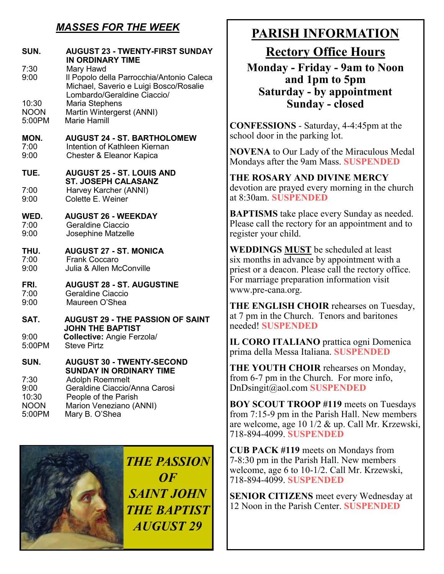## *MASSES FOR THE WEEK*

| SUN.                                 | <b>AUGUST 23 - TWENTY-FIRST SUNDAY</b><br><b>IN ORDINARY TIME</b><br>Mary Hawd<br>Il Popolo della Parrocchia/Antonio Caleca<br>Michael, Saverio e Luigi Bosco/Rosalie<br>Lombardo/Geraldine Ciaccio/<br>Maria Stephens<br>Martin Wintergerst (ANNI)<br>Marie Hamill |  |
|--------------------------------------|---------------------------------------------------------------------------------------------------------------------------------------------------------------------------------------------------------------------------------------------------------------------|--|
| 7:30<br>9:00                         |                                                                                                                                                                                                                                                                     |  |
| 10:30<br><b>NOON</b><br>5:00PM       |                                                                                                                                                                                                                                                                     |  |
| MON.<br>7:00<br>9:00                 | <b>AUGUST 24 - ST. BARTHOLOMEW</b><br>Intention of Kathleen Kiernan<br>Chester & Eleanor Kapica                                                                                                                                                                     |  |
| TUE.                                 | <b>AUGUST 25 - ST. LOUIS AND</b><br><b>ST. JOSEPH CALASANZ</b><br>Harvey Karcher (ANNI)<br>Colette E. Weiner                                                                                                                                                        |  |
| 7:00<br>9:00                         |                                                                                                                                                                                                                                                                     |  |
| WED.<br>7:00<br>9:00                 | <b>AUGUST 26 - WEEKDAY</b><br>Geraldine Ciaccio<br>Josephine Matzelle                                                                                                                                                                                               |  |
| THU.<br>7:00<br>9:00                 | <b>AUGUST 27 - ST. MONICA</b><br><b>Frank Coccaro</b><br>Julia & Allen McConville                                                                                                                                                                                   |  |
| FRI.<br>7:00<br>9:00                 | <b>AUGUST 28 - ST. AUGUSTINE</b><br>Geraldine Ciaccio<br>Maureen O'Shea                                                                                                                                                                                             |  |
| SAT.                                 | <b>AUGUST 29 - THE PASSION OF SAINT</b><br><b>JOHN THE BAPTIST</b>                                                                                                                                                                                                  |  |
| 9:00<br>5:00PM                       | <b>Collective: Angie Ferzola/</b><br><b>Steve Pirtz</b>                                                                                                                                                                                                             |  |
| SUN.                                 | <b>AUGUST 30 - TWENTY-SECOND</b><br><b>SUNDAY IN ORDINARY TIME</b>                                                                                                                                                                                                  |  |
| 7:30<br>9:00<br>10:30<br><b>NOON</b> | <b>Adolph Roemmelt</b><br>Geraldine Ciaccio/Anna Carosi<br>People of the Parish<br>Marion Veneziano (ANNI)                                                                                                                                                          |  |



5:00PM Mary B. O'Shea

*THE PASSION OF SAINT JOHN THE BAPTIST AUGUST 29*

## **PARISH INFORMATION**

**Rectory Office Hours** 

**Monday - Friday - 9am to Noon and 1pm to 5pm Saturday - by appointment Sunday - closed**

**CONFESSIONS** - Saturday, 4-4:45pm at the school door in the parking lot.

**NOVENA** to Our Lady of the Miraculous Medal Mondays after the 9am Mass. **SUSPENDED**

**THE ROSARY AND DIVINE MERCY** devotion are prayed every morning in the church at 8:30am. **SUSPENDED**

**BAPTISMS** take place every Sunday as needed. Please call the rectory for an appointment and to register your child.

**WEDDINGS MUST** be scheduled at least six months in advance by appointment with a priest or a deacon. Please call the rectory office. For marriage preparation information visit www.pre-cana.org.

**THE ENGLISH CHOIR** rehearses on Tuesday, at 7 pm in the Church. Tenors and baritones needed! **SUSPENDED**

**IL CORO ITALIANO** prattica ogni Domenica prima della Messa Italiana. **SUSPENDED**

**THE YOUTH CHOIR** rehearses on Monday, from 6-7 pm in the Church. For more info, DnDsingit@aol.com **SUSPENDED**

**BOY SCOUT TROOP #119** meets on Tuesdays from 7:15-9 pm in the Parish Hall. New members are welcome, age 10 1/2 & up. Call Mr. Krzewski, 718-894-4099. **SUSPENDED**

**CUB PACK #119** meets on Mondays from 7-8:30 pm in the Parish Hall. New members welcome, age 6 to 10-1/2. Call Mr. Krzewski, 718-894-4099. **SUSPENDED**

**SENIOR CITIZENS** meet every Wednesday at 12 Noon in the Parish Center. **SUSPENDED**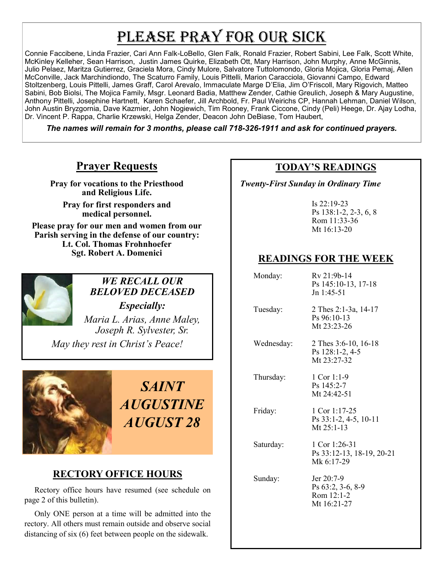## PLEASE PRAY FOR OUR SICK

Connie Faccibene, Linda Frazier, Cari Ann Falk-LoBello, Glen Falk, Ronald Frazier, Robert Sabini, Lee Falk, Scott White, McKinley Kelleher, Sean Harrison, Justin James Quirke, Elizabeth Ott, Mary Harrison, John Murphy, Anne McGinnis, Julio Pelaez, Maritza Gutierrez, Graciela Mora, Cindy Mulore, Salvatore Tuttolomondo, Gloria Mojica, Gloria Pemaj, Allen McConville, Jack Marchindiondo, The Scaturro Family, Louis Pittelli, Marion Caracciola, Giovanni Campo, Edward Stoltzenberg, Louis Pittelli, James Graff, Carol Arevalo, Immaculate Marge D'Elia, Jim O'Friscoll, Mary Rigovich, Matteo Sabini, Bob Biolsi, The Mojica Family, Msgr. Leonard Badia, Matthew Zender, Cathie Greulich, Joseph & Mary Augustine, Anthony Pittelli, Josephine Hartnett, Karen Schaefer, Jill Archbold, Fr. Paul Weirichs CP, Hannah Lehman, Daniel Wilson, John Austin Bryzgornia, Dave Kazmier, John Nogiewich, Tim Rooney, Frank Ciccone, Cindy (Peli) Heege, Dr. Ajay Lodha, Dr. Vincent P. Rappa, Charlie Krzewski, Helga Zender, Deacon John DeBiase, Tom Haubert,

*The names will remain for 3 months, please call 718-326-1911 and ask for continued prayers.*

## **Prayer Requests**

**Pray for vocations to the Priesthood and Religious Life.** 

**Pray for first responders and medical personnel.**

**Please pray for our men and women from our Parish serving in the defense of our country: Lt. Col. Thomas Frohnhoefer Sgt. Robert A. Domenici** 



## *WE RECALL OUR BELOVED DECEASED Especially:*

*Maria L. Arias, Anne Maley, Joseph R. Sylvester, Sr.*

*May they rest in Christ's Peace!*



*SAINT AUGUSTINE AUGUST 28*

## **RECTORY OFFICE HOURS**

 Rectory office hours have resumed (see schedule on page 2 of this bulletin).

 Only ONE person at a time will be admitted into the rectory. All others must remain outside and observe social distancing of six (6) feet between people on the sidewalk.

## **TODAY'S READINGS**

 *Twenty-First Sunday in Ordinary Time*

Is 22:19-23 Ps 138:1-2, 2-3, 6, 8 Rom 11:33-36 Mt 16:13-20

## **READINGS FOR THE WEEK**

| Monday:    | Rv 21:9b-14<br>Ps 145:10-13, 17-18<br>$Jn$ 1:45-51             |
|------------|----------------------------------------------------------------|
| Tuesday:   | 2 Thes 2:1-3a, 14-17<br>$Ps\,96:10-13$<br>Mt 23:23-26          |
| Wednesday: | 2 Thes 3:6-10, 16-18<br>Ps 128:1-2, 4-5<br>Mt 23:27-32         |
| Thursday:  | $1$ Cor 1:1-9<br>Ps 145:2-7<br>Mt 24:42-51                     |
| Friday:    | 1 Cor 1:17-25<br>Ps 33:1-2, 4-5, 10-11<br>Mt $25:1-13$         |
| Saturday:  | 1 Cor 1:26-31<br>Ps 33:12-13, 18-19, 20-21<br>Mk 6:17-29       |
| Sunday:    | Jer 20:7-9<br>Ps 63:2, 3-6, 8-9<br>Rom $12:1-2$<br>Mt 16:21-27 |
|            |                                                                |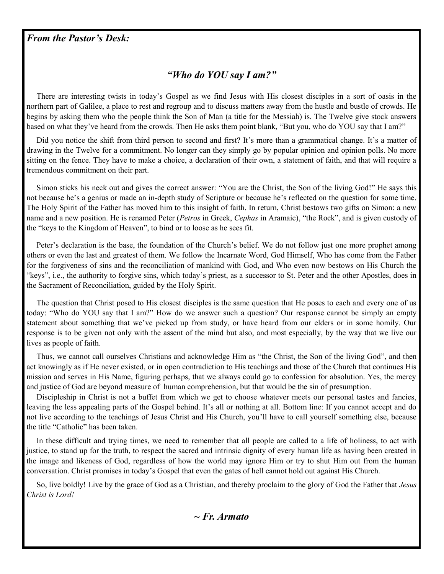#### *From the Pastor's Desk:*

## *"Who do YOU say I am?"*

 There are interesting twists in today's Gospel as we find Jesus with His closest disciples in a sort of oasis in the northern part of Galilee, a place to rest and regroup and to discuss matters away from the hustle and bustle of crowds. He begins by asking them who the people think the Son of Man (a title for the Messiah) is. The Twelve give stock answers based on what they've heard from the crowds. Then He asks them point blank, "But you, who do YOU say that I am?"

 Did you notice the shift from third person to second and first? It's more than a grammatical change. It's a matter of drawing in the Twelve for a commitment. No longer can they simply go by popular opinion and opinion polls. No more sitting on the fence. They have to make a choice, a declaration of their own, a statement of faith, and that will require a tremendous commitment on their part.

 Simon sticks his neck out and gives the correct answer: "You are the Christ, the Son of the living God!" He says this not because he's a genius or made an in-depth study of Scripture or because he's reflected on the question for some time. The Holy Spirit of the Father has moved him to this insight of faith. In return, Christ bestows two gifts on Simon: a new name and a new position. He is renamed Peter (*Petros* in Greek, *Cephas* in Aramaic), "the Rock", and is given custody of the "keys to the Kingdom of Heaven", to bind or to loose as he sees fit.

 Peter's declaration is the base, the foundation of the Church's belief. We do not follow just one more prophet among others or even the last and greatest of them. We follow the Incarnate Word, God Himself, Who has come from the Father for the forgiveness of sins and the reconciliation of mankind with God, and Who even now bestows on His Church the "keys", i.e., the authority to forgive sins, which today's priest, as a successor to St. Peter and the other Apostles, does in the Sacrament of Reconciliation, guided by the Holy Spirit.

 The question that Christ posed to His closest disciples is the same question that He poses to each and every one of us today: "Who do YOU say that I am?" How do we answer such a question? Our response cannot be simply an empty statement about something that we've picked up from study, or have heard from our elders or in some homily. Our response is to be given not only with the assent of the mind but also, and most especially, by the way that we live our lives as people of faith.

 Thus, we cannot call ourselves Christians and acknowledge Him as "the Christ, the Son of the living God", and then act knowingly as if He never existed, or in open contradiction to His teachings and those of the Church that continues His mission and serves in His Name, figuring perhaps, that we always could go to confession for absolution. Yes, the mercy and justice of God are beyond measure of human comprehension, but that would be the sin of presumption.

 Discipleship in Christ is not a buffet from which we get to choose whatever meets our personal tastes and fancies, leaving the less appealing parts of the Gospel behind. It's all or nothing at all. Bottom line: If you cannot accept and do not live according to the teachings of Jesus Christ and His Church, you'll have to call yourself something else, because the title "Catholic" has been taken.

 In these difficult and trying times, we need to remember that all people are called to a life of holiness, to act with justice, to stand up for the truth, to respect the sacred and intrinsic dignity of every human life as having been created in the image and likeness of God, regardless of how the world may ignore Him or try to shut Him out from the human conversation. Christ promises in today's Gospel that even the gates of hell cannot hold out against His Church.

 So, live boldly! Live by the grace of God as a Christian, and thereby proclaim to the glory of God the Father that *Jesus Christ is Lord!*

*~ Fr. Armato*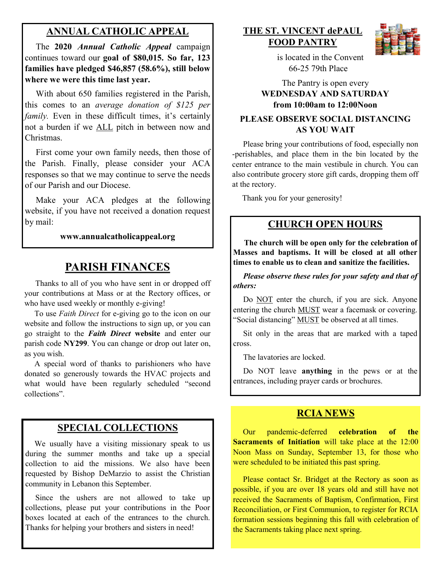## **ANNUAL CATHOLIC APPEAL**

 The **2020** *Annual Catholic Appeal* campaign continues toward our **goal of \$80,015. So far, 123 families have pledged \$46,857 (58.6%), still below where we were this time last year.** 

 With about 650 families registered in the Parish, this comes to an *average donation of \$125 per family*. Even in these difficult times, it's certainly not a burden if we ALL pitch in between now and Christmas.

 First come your own family needs, then those of the Parish. Finally, please consider your ACA responses so that we may continue to serve the needs of our Parish and our Diocese.

 Make your ACA pledges at the following website, if you have not received a donation request by mail:

#### **www.annualcatholicappeal.org**

## **PARISH FINANCES**

 Thanks to all of you who have sent in or dropped off your contributions at Mass or at the Rectory offices, or who have used weekly or monthly e-giving!

 To use *Faith Direct* for e-giving go to the icon on our website and follow the instructions to sign up, or you can go straight to the *Faith Direct* **website** and enter our parish code **NY299**. You can change or drop out later on, as you wish.

 A special word of thanks to parishioners who have donated so generously towards the HVAC projects and what would have been regularly scheduled "second collections".

### **SPECIAL COLLECTIONS**

We usually have a visiting missionary speak to us during the summer months and take up a special collection to aid the missions. We also have been requested by Bishop DeMarzio to assist the Christian community in Lebanon this September.

Since the ushers are not allowed to take up collections, please put your contributions in the Poor boxes located at each of the entrances to the church. Thanks for helping your brothers and sisters in need!

## **THE ST. VINCENT dePAUL FOOD PANTRY**



 is located in the Convent 66-25 79th Place

The Pantry is open every **WEDNESDAY AND SATURDAY from 10:00am to 12:00Noon**

#### **PLEASE OBSERVE SOCIAL DISTANCING AS YOU WAIT**

 Please bring your contributions of food, especially non -perishables, and place them in the bin located by the center entrance to the main vestibule in church. You can also contribute grocery store gift cards, dropping them off at the rectory.

Thank you for your generosity!

#### **CHURCH OPEN HOURS**

 **The church will be open only for the celebration of Masses and baptisms. It will be closed at all other times to enable us to clean and sanitize the facilities.**

 *Please observe these rules for your safety and that of others:* 

Do NOT enter the church, if you are sick. Anyone entering the church MUST wear a facemask or covering. "Social distancing" MUST be observed at all times.

 Sit only in the areas that are marked with a taped cross.

The lavatories are locked.

 Do NOT leave **anything** in the pews or at the entrances, including prayer cards or brochures.

#### **RCIA NEWS**

 Our pandemic-deferred **celebration of the Sacraments of Initiation** will take place at the 12:00 Noon Mass on Sunday, September 13, for those who were scheduled to be initiated this past spring.

 Please contact Sr. Bridget at the Rectory as soon as possible, if you are over 18 years old and still have not received the Sacraments of Baptism, Confirmation, First Reconciliation, or First Communion, to register for RCIA formation sessions beginning this fall with celebration of the Sacraments taking place next spring.